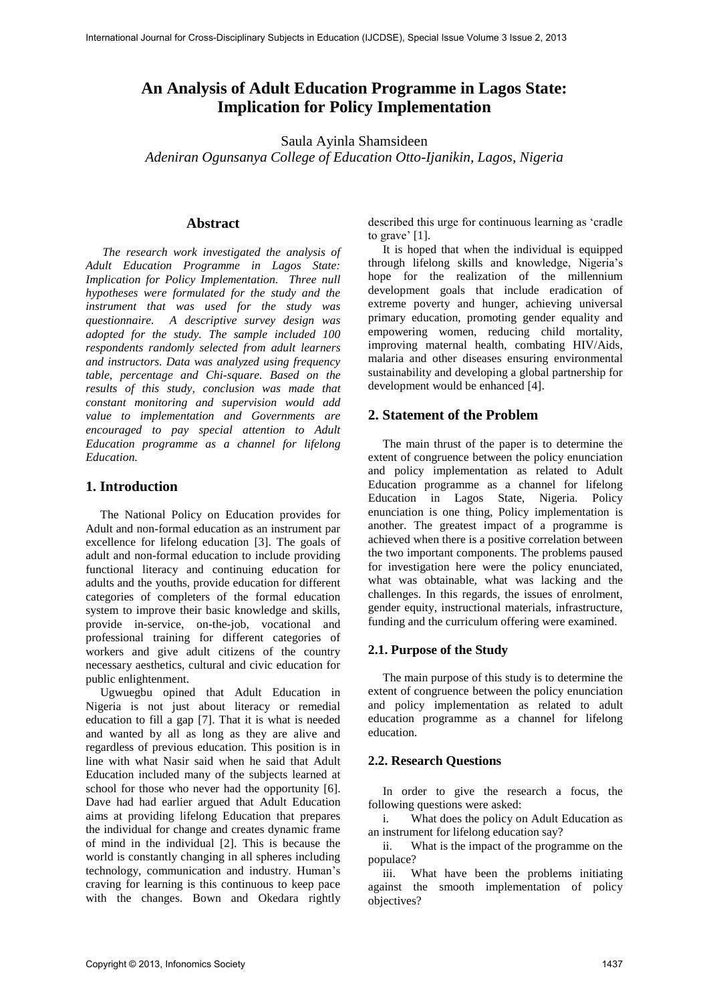# **An Analysis of Adult Education Programme in Lagos State: Implication for Policy Implementation**

Saula Ayinla Shamsideen

*Adeniran Ogunsanya College of Education Otto-Ijanikin, Lagos, Nigeria* 

# **Abstract**

*The research work investigated the analysis of Adult Education Programme in Lagos State: Implication for Policy Implementation. Three null hypotheses were formulated for the study and the instrument that was used for the study was questionnaire. A descriptive survey design was adopted for the study. The sample included 100 respondents randomly selected from adult learners and instructors. Data was analyzed using frequency table, percentage and Chi-square. Based on the results of this study, conclusion was made that constant monitoring and supervision would add value to implementation and Governments are encouraged to pay special attention to Adult Education programme as a channel for lifelong Education.* 

# **1. Introduction**

The National Policy on Education provides for Adult and non-formal education as an instrument par excellence for lifelong education [3]. The goals of adult and non-formal education to include providing functional literacy and continuing education for adults and the youths, provide education for different categories of completers of the formal education system to improve their basic knowledge and skills, provide in-service, on-the-job, vocational and professional training for different categories of workers and give adult citizens of the country necessary aesthetics, cultural and civic education for public enlightenment.

Ugwuegbu opined that Adult Education in Nigeria is not just about literacy or remedial education to fill a gap [7]. That it is what is needed and wanted by all as long as they are alive and regardless of previous education. This position is in line with what Nasir said when he said that Adult Education included many of the subjects learned at school for those who never had the opportunity [6]. Dave had had earlier argued that Adult Education aims at providing lifelong Education that prepares the individual for change and creates dynamic frame of mind in the individual [2]. This is because the world is constantly changing in all spheres including technology, communication and industry. Human's craving for learning is this continuous to keep pace with the changes. Bown and Okedara rightly described this urge for continuous learning as 'cradle to grave' [1].

It is hoped that when the individual is equipped through lifelong skills and knowledge, Nigeria's hope for the realization of the millennium development goals that include eradication of extreme poverty and hunger, achieving universal primary education, promoting gender equality and empowering women, reducing child mortality, improving maternal health, combating HIV/Aids, malaria and other diseases ensuring environmental sustainability and developing a global partnership for development would be enhanced [4].

# **2. Statement of the Problem**

The main thrust of the paper is to determine the extent of congruence between the policy enunciation and policy implementation as related to Adult Education programme as a channel for lifelong Education in Lagos State, Nigeria. Policy enunciation is one thing, Policy implementation is another. The greatest impact of a programme is achieved when there is a positive correlation between the two important components. The problems paused for investigation here were the policy enunciated, what was obtainable, what was lacking and the challenges. In this regards, the issues of enrolment, gender equity, instructional materials, infrastructure, funding and the curriculum offering were examined.

# **2.1. Purpose of the Study**

The main purpose of this study is to determine the extent of congruence between the policy enunciation and policy implementation as related to adult education programme as a channel for lifelong education.

## **2.2. Research Questions**

In order to give the research a focus, the following questions were asked:

i. What does the policy on Adult Education as an instrument for lifelong education say?

ii. What is the impact of the programme on the populace?

iii. What have been the problems initiating against the smooth implementation of policy objectives?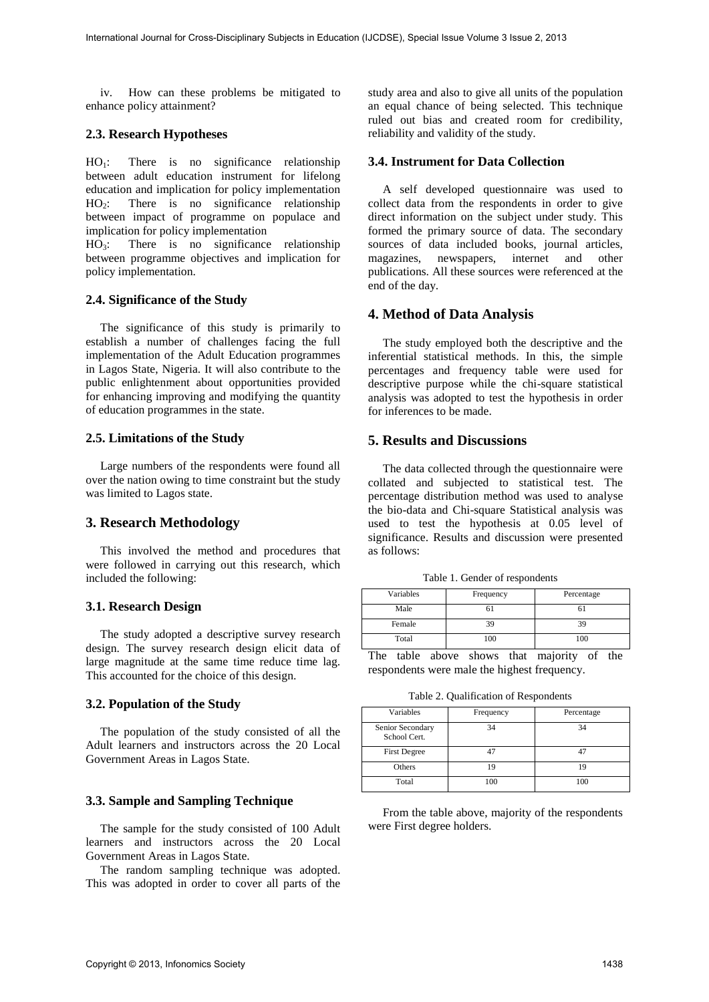iv. How can these problems be mitigated to enhance policy attainment?

# **2.3. Research Hypotheses**

 $HO_1$ : There is no significance relationship between adult education instrument for lifelong education and implication for policy implementation  $HO<sub>2</sub>$ : There is no significance relationship between impact of programme on populace and implication for policy implementation

 $HO<sub>3</sub>$ : There is no significance relationship between programme objectives and implication for policy implementation.

## **2.4. Significance of the Study**

The significance of this study is primarily to establish a number of challenges facing the full implementation of the Adult Education programmes in Lagos State, Nigeria. It will also contribute to the public enlightenment about opportunities provided for enhancing improving and modifying the quantity of education programmes in the state.

#### **2.5. Limitations of the Study**

Large numbers of the respondents were found all over the nation owing to time constraint but the study was limited to Lagos state.

# **3. Research Methodology**

This involved the method and procedures that were followed in carrying out this research, which included the following:

#### **3.1. Research Design**

The study adopted a descriptive survey research design. The survey research design elicit data of large magnitude at the same time reduce time lag. This accounted for the choice of this design.

#### **3.2. Population of the Study**

The population of the study consisted of all the Adult learners and instructors across the 20 Local Government Areas in Lagos State.

## **3.3. Sample and Sampling Technique**

The sample for the study consisted of 100 Adult learners and instructors across the 20 Local Government Areas in Lagos State.

The random sampling technique was adopted. This was adopted in order to cover all parts of the study area and also to give all units of the population an equal chance of being selected. This technique ruled out bias and created room for credibility, reliability and validity of the study.

#### **3.4. Instrument for Data Collection**

A self developed questionnaire was used to collect data from the respondents in order to give direct information on the subject under study. This formed the primary source of data. The secondary sources of data included books, journal articles, magazines, newspapers, internet and other publications. All these sources were referenced at the end of the day.

# **4. Method of Data Analysis**

The study employed both the descriptive and the inferential statistical methods. In this, the simple percentages and frequency table were used for descriptive purpose while the chi-square statistical analysis was adopted to test the hypothesis in order for inferences to be made.

# **5. Results and Discussions**

The data collected through the questionnaire were collated and subjected to statistical test. The percentage distribution method was used to analyse the bio-data and Chi-square Statistical analysis was used to test the hypothesis at 0.05 level of significance. Results and discussion were presented as follows:

| Table 1. Gender of respondents |  |  |  |  |
|--------------------------------|--|--|--|--|
|--------------------------------|--|--|--|--|

| Variables | Frequency | Percentage |  |  |
|-----------|-----------|------------|--|--|
| Male      |           |            |  |  |
| Female    |           | 39         |  |  |
| Total     | 100       | 100        |  |  |

The table above shows that majority of the respondents were male the highest frequency.

Table 2. Qualification of Respondents

| Variables                        | Frequency | Percentage |
|----------------------------------|-----------|------------|
| Senior Secondary<br>School Cert. | 34        | 34         |
| <b>First Degree</b>              | 47        | 17         |
| Others                           | 19        | 19         |
| Total                            | 100       | 100        |

From the table above, majority of the respondents were First degree holders.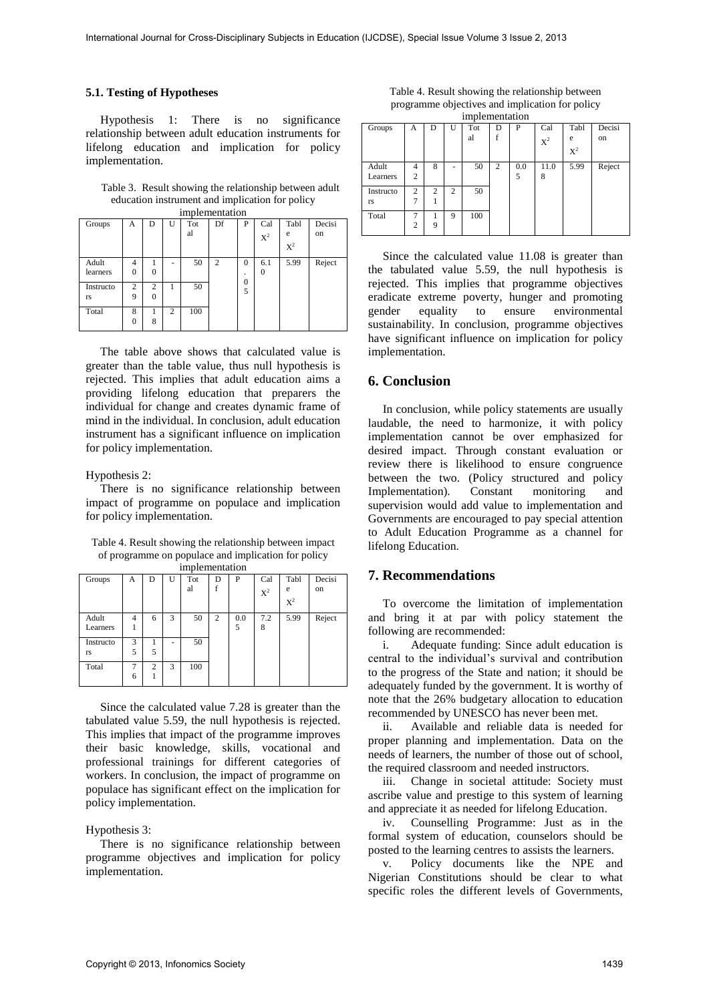#### **5.1. Testing of Hypotheses**

Hypothesis 1: There is no significance relationship between adult education instruments for lifelong education and implication for policy implementation.

Table 3. Result showing the relationship between adult education instrument and implication for policy

| implementation |                |                |   |     |                |                     |          |       |        |
|----------------|----------------|----------------|---|-----|----------------|---------------------|----------|-------|--------|
| Groups         | А              | D              | U | Tot | Df             | P                   | Cal      | Tabl  | Decisi |
|                |                |                |   | al  |                |                     | $X^2$    | e     | on     |
|                |                |                |   |     |                |                     |          | $X^2$ |        |
| Adult          | 4              |                | ۰ | 50  | $\overline{c}$ | $\Omega$            | 6.1      | 5.99  | Reject |
| learners       | $\theta$       | 0              |   |     |                | ٠                   | $\theta$ |       |        |
| Instructo      | $\overline{c}$ | $\overline{c}$ | 1 | 50  |                | $\overline{0}$<br>5 |          |       |        |
| rs             | 9              | $\Omega$       |   |     |                |                     |          |       |        |
| Total          | 8              |                | 2 | 100 |                |                     |          |       |        |
|                | $\theta$       | 8              |   |     |                |                     |          |       |        |

The table above shows that calculated value is greater than the table value, thus null hypothesis is rejected. This implies that adult education aims a providing lifelong education that preparers the individual for change and creates dynamic frame of mind in the individual. In conclusion, adult education instrument has a significant influence on implication for policy implementation.

#### Hypothesis 2:

There is no significance relationship between impact of programme on populace and implication for policy implementation.

Table 4. Result showing the relationship between impact of programme on populace and implication for policy implementation

| Groups    | А | D              | U | Tot | D | P   | Cal   | Tabl           | Decisi |
|-----------|---|----------------|---|-----|---|-----|-------|----------------|--------|
|           |   |                |   | al  |   |     | $X^2$ | e              | on     |
|           |   |                |   |     |   |     |       | $\mathrm{X}^2$ |        |
| Adult     | 4 | 6              | 3 | 50  | 2 | 0.0 | 7.2   | 5.99           | Reject |
| Learners  |   |                |   |     |   | 5   | 8     |                |        |
| Instructo | 3 |                | - | 50  |   |     |       |                |        |
| rs        | 5 | 5              |   |     |   |     |       |                |        |
| Total     | 7 | $\overline{c}$ | 3 | 100 |   |     |       |                |        |
|           | 6 |                |   |     |   |     |       |                |        |

Since the calculated value 7.28 is greater than the tabulated value 5.59, the null hypothesis is rejected. This implies that impact of the programme improves their basic knowledge, skills, vocational and professional trainings for different categories of workers. In conclusion, the impact of programme on populace has significant effect on the implication for policy implementation.

#### Hypothesis 3:

There is no significance relationship between programme objectives and implication for policy implementation.

Table 4. Result showing the relationship between programme objectives and implication for policy implementation

|           |                |                |   | ---г |   |     |                |                |        |
|-----------|----------------|----------------|---|------|---|-----|----------------|----------------|--------|
| Groups    | А              | D              | U | Tot  | D | P   | Cal            | Tabl           | Decisi |
|           |                |                |   | al   | f |     | $\mathrm{X}^2$ | e              | on     |
|           |                |                |   |      |   |     |                | $\mathrm{X}^2$ |        |
| Adult     | 4              | 8              | ۰ | 50   | 2 | 0.0 | 11.0           | 5.99           | Reject |
| Learners  | $\overline{c}$ |                |   |      |   | 5   | 8              |                |        |
| Instructo | $\overline{c}$ | $\overline{c}$ | 2 | 50   |   |     |                |                |        |
| rs        | $\overline{7}$ |                |   |      |   |     |                |                |        |
| Total     | 7              |                | 9 | 100  |   |     |                |                |        |
|           | $\mathfrak{2}$ | 9              |   |      |   |     |                |                |        |

Since the calculated value 11.08 is greater than the tabulated value 5.59, the null hypothesis is rejected. This implies that programme objectives eradicate extreme poverty, hunger and promoting gender equality to ensure environmental sustainability. In conclusion, programme objectives have significant influence on implication for policy implementation.

#### **6. Conclusion**

In conclusion, while policy statements are usually laudable, the need to harmonize, it with policy implementation cannot be over emphasized for desired impact. Through constant evaluation or review there is likelihood to ensure congruence between the two. (Policy structured and policy Implementation). Constant monitoring and supervision would add value to implementation and Governments are encouraged to pay special attention to Adult Education Programme as a channel for lifelong Education.

# **7. Recommendations**

To overcome the limitation of implementation and bring it at par with policy statement the following are recommended:

i. Adequate funding: Since adult education is central to the individual's survival and contribution to the progress of the State and nation; it should be adequately funded by the government. It is worthy of note that the 26% budgetary allocation to education recommended by UNESCO has never been met.

ii. Available and reliable data is needed for proper planning and implementation. Data on the needs of learners, the number of those out of school, the required classroom and needed instructors.

iii. Change in societal attitude: Society must ascribe value and prestige to this system of learning and appreciate it as needed for lifelong Education.

iv. Counselling Programme: Just as in the formal system of education, counselors should be posted to the learning centres to assists the learners.

v. Policy documents like the NPE and Nigerian Constitutions should be clear to what specific roles the different levels of Governments,